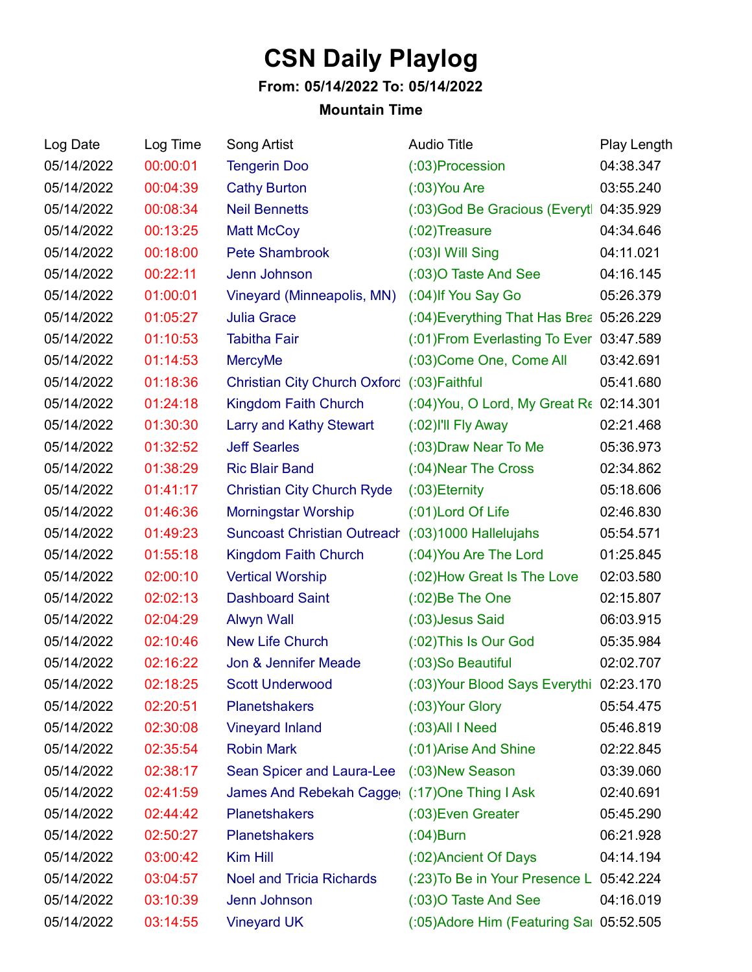## **CSN Daily Playlog**

## **From: 05/14/2022 To: 05/14/2022**

## **Mountain Time**

| Log Date   | Log Time | Song Artist                                    | <b>Audio Title</b>                       | Play Length |
|------------|----------|------------------------------------------------|------------------------------------------|-------------|
| 05/14/2022 | 00:00:01 | <b>Tengerin Doo</b>                            | (:03) Procession                         | 04:38.347   |
| 05/14/2022 | 00:04:39 | <b>Cathy Burton</b>                            | $(03)$ You Are                           | 03:55.240   |
| 05/14/2022 | 00:08:34 | <b>Neil Bennetts</b>                           | (:03) God Be Gracious (Everyt 04:35.929  |             |
| 05/14/2022 | 00:13:25 | <b>Matt McCoy</b>                              | $(02)$ Treasure                          | 04:34.646   |
| 05/14/2022 | 00:18:00 | <b>Pete Shambrook</b>                          | $(.03)$ I Will Sing                      | 04:11.021   |
| 05/14/2022 | 00:22:11 | Jenn Johnson                                   | (:03) O Taste And See                    | 04:16.145   |
| 05/14/2022 | 01:00:01 | Vineyard (Minneapolis, MN)                     | (:04) If You Say Go                      | 05:26.379   |
| 05/14/2022 | 01:05:27 | <b>Julia Grace</b>                             | (:04) Everything That Has Brea 05:26.229 |             |
| 05/14/2022 | 01:10:53 | <b>Tabitha Fair</b>                            | (:01) From Everlasting To Ever 03:47.589 |             |
| 05/14/2022 | 01:14:53 | <b>MercyMe</b>                                 | (:03) Come One, Come All                 | 03:42.691   |
| 05/14/2022 | 01:18:36 | <b>Christian City Church Oxford</b>            | $(03)$ Faithful                          | 05:41.680   |
| 05/14/2022 | 01:24:18 | Kingdom Faith Church                           | (:04) You, O Lord, My Great Re 02:14.301 |             |
| 05/14/2022 | 01:30:30 | Larry and Kathy Stewart                        | (:02) I'll Fly Away                      | 02:21.468   |
| 05/14/2022 | 01:32:52 | <b>Jeff Searles</b>                            | (:03) Draw Near To Me                    | 05:36.973   |
| 05/14/2022 | 01:38:29 | <b>Ric Blair Band</b>                          | (:04) Near The Cross                     | 02:34.862   |
| 05/14/2022 | 01:41:17 | <b>Christian City Church Ryde</b>              | $(03)$ Eternity                          | 05:18.606   |
| 05/14/2022 | 01:46:36 | <b>Morningstar Worship</b>                     | (:01)Lord Of Life                        | 02:46.830   |
| 05/14/2022 | 01:49:23 | <b>Suncoast Christian Outreach</b>             | $(03)1000$ Hallelujahs                   | 05:54.571   |
| 05/14/2022 | 01:55:18 | Kingdom Faith Church                           | (:04) You Are The Lord                   | 01:25.845   |
| 05/14/2022 | 02:00:10 | <b>Vertical Worship</b>                        | (:02) How Great Is The Love              | 02:03.580   |
| 05/14/2022 | 02:02:13 | <b>Dashboard Saint</b>                         | $(0.02)$ Be The One                      | 02:15.807   |
| 05/14/2022 | 02:04:29 | <b>Alwyn Wall</b>                              | (:03) Jesus Said                         | 06:03.915   |
| 05/14/2022 | 02:10:46 | <b>New Life Church</b>                         | (:02) This Is Our God                    | 05:35.984   |
| 05/14/2022 | 02:16:22 | Jon & Jennifer Meade                           | (:03)So Beautiful                        | 02:02.707   |
| 05/14/2022 | 02:18:25 | <b>Scott Underwood</b>                         | (:03) Your Blood Says Everythi 02:23.170 |             |
| 05/14/2022 | 02:20:51 | <b>Planetshakers</b>                           | (:03) Your Glory                         | 05:54.475   |
| 05/14/2022 | 02:30:08 | <b>Vineyard Inland</b>                         | $(0.03)$ All I Need                      | 05:46.819   |
| 05/14/2022 | 02:35:54 | <b>Robin Mark</b>                              | (:01) Arise And Shine                    | 02:22.845   |
| 05/14/2022 | 02:38:17 | Sean Spicer and Laura-Lee (:03) New Season     |                                          | 03:39.060   |
| 05/14/2022 | 02:41:59 | James And Rebekah Cagge( (:17) One Thing I Ask |                                          | 02:40.691   |
| 05/14/2022 | 02:44:42 | <b>Planetshakers</b>                           | (:03) Even Greater                       | 05:45.290   |
| 05/14/2022 | 02:50:27 | <b>Planetshakers</b>                           | $(0.04)$ Burn                            | 06:21.928   |
| 05/14/2022 | 03:00:42 | <b>Kim Hill</b>                                | (:02) Ancient Of Days                    | 04:14.194   |
| 05/14/2022 | 03:04:57 | <b>Noel and Tricia Richards</b>                | (:23) To Be in Your Presence L 05:42.224 |             |
| 05/14/2022 | 03:10:39 | Jenn Johnson                                   | (:03) O Taste And See                    | 04:16.019   |
| 05/14/2022 | 03:14:55 | <b>Vineyard UK</b>                             | (:05) Adore Him (Featuring Sai 05:52.505 |             |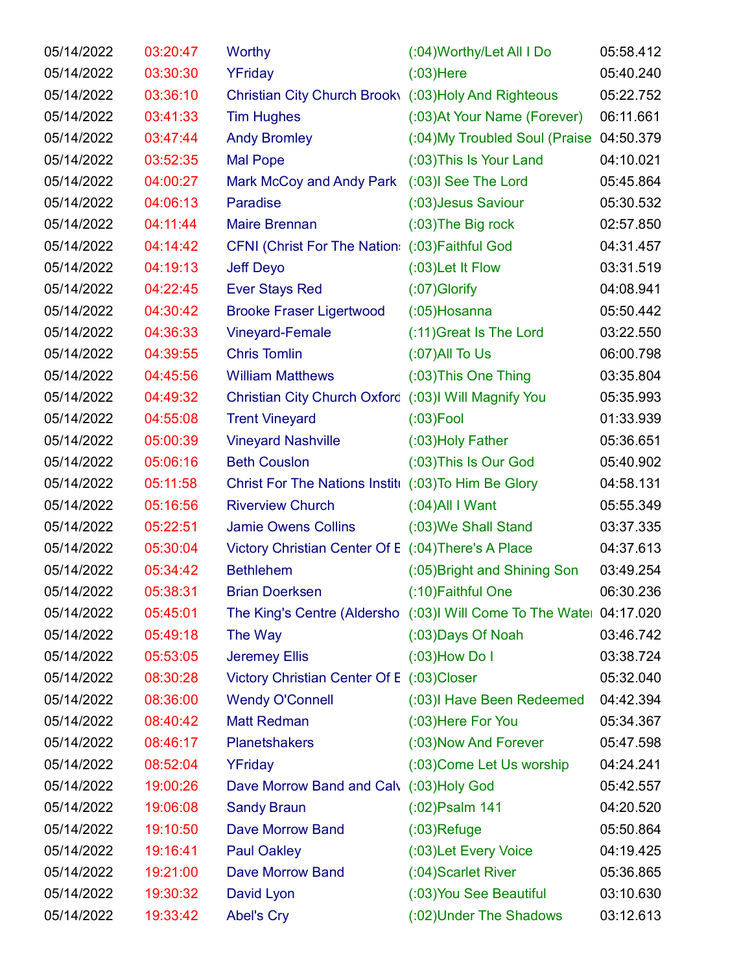| 05/14/2022 | 03:20:47 | Worthy                                               | (:04) Worthy/Let All I Do                                           | 05:58.412 |
|------------|----------|------------------------------------------------------|---------------------------------------------------------------------|-----------|
| 05/14/2022 | 03:30:30 | YFriday                                              | $(03)$ Here                                                         | 05:40.240 |
| 05/14/2022 | 03:36:10 | Christian City Church Brook\ (:03)Holy And Righteous |                                                                     | 05:22.752 |
| 05/14/2022 | 03:41:33 | <b>Tim Hughes</b>                                    | (:03) At Your Name (Forever)                                        | 06:11.661 |
| 05/14/2022 | 03:47:44 | <b>Andy Bromley</b>                                  | (:04) My Troubled Soul (Praise 04:50.379                            |           |
| 05/14/2022 | 03:52:35 | <b>Mal Pope</b>                                      | (:03) This Is Your Land                                             | 04:10.021 |
| 05/14/2022 | 04:00:27 | Mark McCoy and Andy Park                             | (:03)I See The Lord                                                 | 05:45.864 |
| 05/14/2022 | 04:06:13 | Paradise                                             | (:03) Jesus Saviour                                                 | 05:30.532 |
| 05/14/2022 | 04:11:44 | <b>Maire Brennan</b>                                 | $(03)$ The Big rock                                                 | 02:57.850 |
| 05/14/2022 | 04:14:42 | CFNI (Christ For The Nation: (:03) Faithful God      |                                                                     | 04:31.457 |
| 05/14/2022 | 04:19:13 | <b>Jeff Deyo</b>                                     | $(0.03)$ Let It Flow                                                | 03:31.519 |
| 05/14/2022 | 04:22:45 | <b>Ever Stays Red</b>                                | $(07)$ Glorify                                                      | 04:08.941 |
| 05/14/2022 | 04:30:42 | <b>Brooke Fraser Ligertwood</b>                      | $(0.05)$ Hosanna                                                    | 05:50.442 |
| 05/14/2022 | 04:36:33 | Vineyard-Female                                      | (:11) Great Is The Lord                                             | 03:22.550 |
| 05/14/2022 | 04:39:55 | <b>Chris Tomlin</b>                                  | $(07)$ All To Us                                                    | 06:00.798 |
| 05/14/2022 | 04:45:56 | <b>William Matthews</b>                              | (:03) This One Thing                                                | 03:35.804 |
| 05/14/2022 | 04:49:32 | Christian City Church Oxford (:03)I Will Magnify You |                                                                     | 05:35.993 |
| 05/14/2022 | 04:55:08 | <b>Trent Vineyard</b>                                | $(03)$ Fool                                                         | 01:33.939 |
| 05/14/2022 | 05:00:39 | <b>Vineyard Nashville</b>                            | (:03) Holy Father                                                   | 05:36.651 |
| 05/14/2022 | 05:06:16 | <b>Beth Couslon</b>                                  | (:03) This Is Our God                                               | 05:40.902 |
| 05/14/2022 | 05:11:58 | Christ For The Nations Institu (:03) To Him Be Glory |                                                                     | 04:58.131 |
| 05/14/2022 | 05:16:56 | <b>Riverview Church</b>                              | $(0.04)$ All I Want                                                 | 05:55.349 |
| 05/14/2022 | 05:22:51 | <b>Jamie Owens Collins</b>                           | (:03) We Shall Stand                                                | 03:37.335 |
| 05/14/2022 | 05:30:04 | Victory Christian Center Of E (:04) There's A Place  |                                                                     | 04:37.613 |
| 05/14/2022 | 05:34:42 | <b>Bethlehem</b>                                     | (:05) Bright and Shining Son                                        | 03:49.254 |
| 05/14/2022 | 05:38:31 | <b>Brian Doerksen</b>                                | (:10)Faithful One                                                   | 06:30.236 |
| 05/14/2022 | 05:45:01 |                                                      | The King's Centre (Aldersho (:03)I Will Come To The Watel 04:17.020 |           |
| 05/14/2022 | 05:49:18 | The Way                                              | (:03) Days Of Noah                                                  | 03:46.742 |
| 05/14/2022 | 05:53:05 | <b>Jeremey Ellis</b>                                 | $(0.03)$ How Do I                                                   | 03:38.724 |
| 05/14/2022 | 08:30:28 | Victory Christian Center Of E (:03)Closer            |                                                                     | 05:32.040 |
| 05/14/2022 | 08:36:00 | <b>Wendy O'Connell</b>                               | (:03)I Have Been Redeemed                                           | 04:42.394 |
| 05/14/2022 | 08:40:42 | <b>Matt Redman</b>                                   | (:03) Here For You                                                  | 05:34.367 |
| 05/14/2022 | 08:46:17 | <b>Planetshakers</b>                                 | (:03) Now And Forever                                               | 05:47.598 |
| 05/14/2022 | 08:52:04 | YFriday                                              | (:03) Come Let Us worship                                           | 04:24.241 |
| 05/14/2022 | 19:00:26 | Dave Morrow Band and Calv (:03) Holy God             |                                                                     | 05:42.557 |
| 05/14/2022 | 19:06:08 | <b>Sandy Braun</b>                                   | $(0.02)$ Psalm 141                                                  | 04:20.520 |
| 05/14/2022 | 19:10:50 | <b>Dave Morrow Band</b>                              | $(03)$ Refuge                                                       | 05:50.864 |
| 05/14/2022 | 19:16:41 | <b>Paul Oakley</b>                                   | (:03) Let Every Voice                                               | 04:19.425 |
| 05/14/2022 | 19:21:00 | <b>Dave Morrow Band</b>                              | (:04) Scarlet River                                                 | 05:36.865 |
| 05/14/2022 | 19:30:32 | David Lyon                                           | (:03) You See Beautiful                                             | 03:10.630 |
| 05/14/2022 | 19:33:42 | <b>Abel's Cry</b>                                    | (:02) Under The Shadows                                             | 03:12.613 |